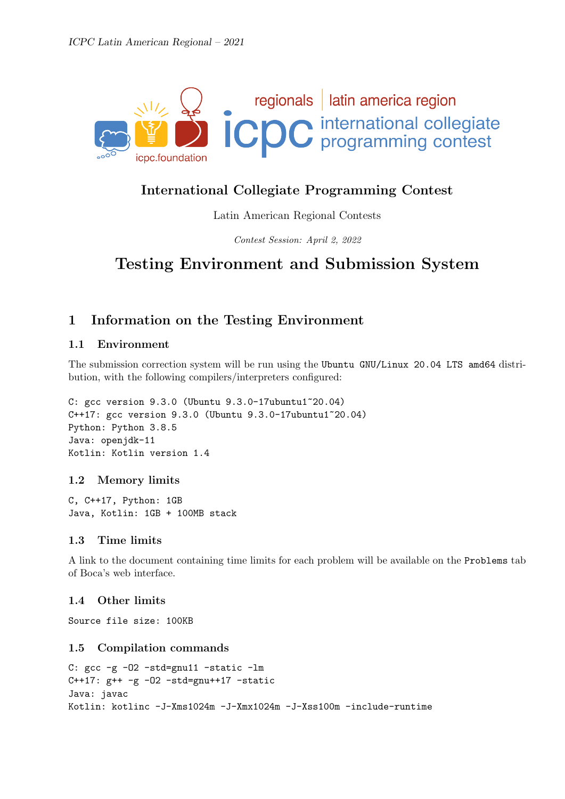

## International Collegiate Programming Contest

Latin American Regional Contests

Contest Session: April 2, 2022

# Testing Environment and Submission System

## 1 Information on the Testing Environment

### 1.1 Environment

The submission correction system will be run using the Ubuntu GNU/Linux 20.04 LTS amd64 distribution, with the following compilers/interpreters configured:

C: gcc version 9.3.0 (Ubuntu 9.3.0-17ubuntu1~20.04) C++17: gcc version 9.3.0 (Ubuntu 9.3.0-17ubuntu1~20.04) Python: Python 3.8.5 Java: openjdk-11 Kotlin: Kotlin version 1.4

#### 1.2 Memory limits

C, C++17, Python: 1GB Java, Kotlin: 1GB + 100MB stack

### 1.3 Time limits

A link to the document containing time limits for each problem will be available on the Problems tab of Boca's web interface.

### 1.4 Other limits

Source file size: 100KB

#### 1.5 Compilation commands

```
C: gcc -g -O2 -std=gnu11 -static -lm
C++17: g++ -g -02 -std=gnu++17 -staticJava: javac
Kotlin: kotlinc -J-Xms1024m -J-Xmx1024m -J-Xss100m -include-runtime
```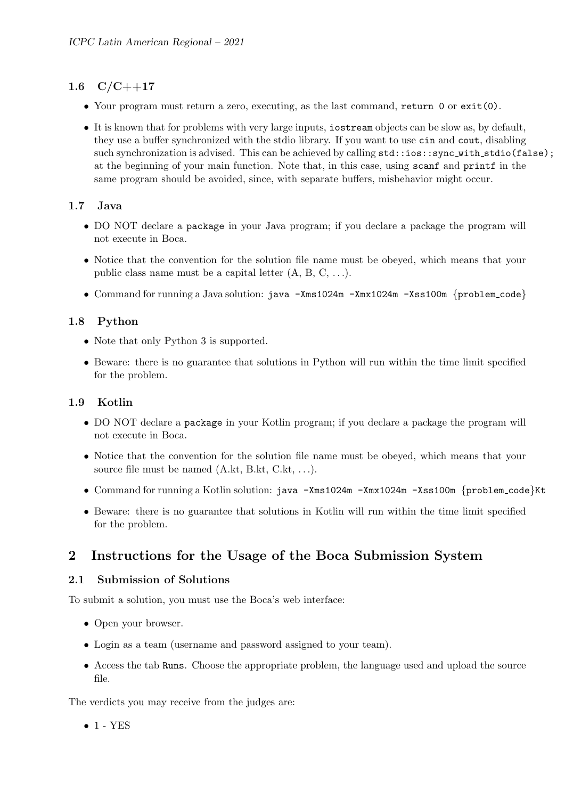## 1.6  $C/C++17$

- Your program must return a zero, executing, as the last command, return 0 or exit(0).
- It is known that for problems with very large inputs, iostream objects can be slow as, by default, they use a buffer synchronized with the stdio library. If you want to use cin and cout, disabling such synchronization is advised. This can be achieved by calling  $std::ios::sync\_with\_stdio(false);$ at the beginning of your main function. Note that, in this case, using scanf and printf in the same program should be avoided, since, with separate buffers, misbehavior might occur.

## 1.7 Java

- DO NOT declare a package in your Java program; if you declare a package the program will not execute in Boca.
- Notice that the convention for the solution file name must be obeyed, which means that your public class name must be a capital letter  $(A, B, C, \ldots)$ .
- Command for running a Java solution: java -Xms1024m -Xmx1024m -Xss100m {problem\_code}

## 1.8 Python

- Note that only Python 3 is supported.
- Beware: there is no guarantee that solutions in Python will run within the time limit specified for the problem.

### 1.9 Kotlin

- DO NOT declare a package in your Kotlin program; if you declare a package the program will not execute in Boca.
- Notice that the convention for the solution file name must be obeyed, which means that your source file must be named  $(A.kt, B.kt, C.kt, \ldots)$ .
- Command for running a Kotlin solution: java -Xms1024m -Xmx1024m -Xss100m {problem code}Kt
- Beware: there is no guarantee that solutions in Kotlin will run within the time limit specified for the problem.

## 2 Instructions for the Usage of the Boca Submission System

### 2.1 Submission of Solutions

To submit a solution, you must use the Boca's web interface:

- Open your browser.
- Login as a team (username and password assigned to your team).
- Access the tab Runs. Choose the appropriate problem, the language used and upload the source file.

The verdicts you may receive from the judges are:

 $\bullet$  1 - YES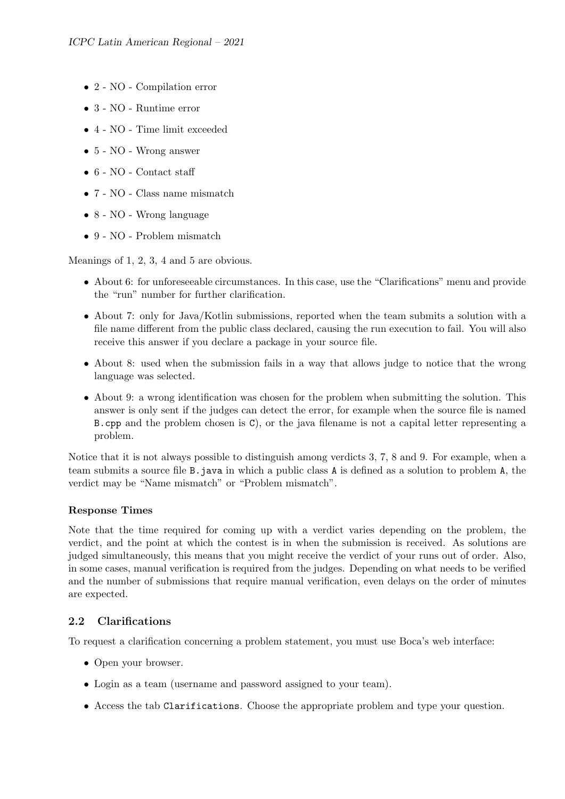- 2 NO Compilation error
- $\bullet\,$ 3 NO Runtime error
- 4 NO Time limit exceeded
- 5 NO Wrong answer
- 6 NO Contact staff
- 7 NO Class name mismatch
- 8 NO Wrong language
- 9 NO Problem mismatch

Meanings of 1, 2, 3, 4 and 5 are obvious.

- About 6: for unforeseeable circumstances. In this case, use the "Clarifications" menu and provide the "run" number for further clarification.
- About 7: only for Java/Kotlin submissions, reported when the team submits a solution with a file name different from the public class declared, causing the run execution to fail. You will also receive this answer if you declare a package in your source file.
- About 8: used when the submission fails in a way that allows judge to notice that the wrong language was selected.
- About 9: a wrong identification was chosen for the problem when submitting the solution. This answer is only sent if the judges can detect the error, for example when the source file is named B.cpp and the problem chosen is C), or the java filename is not a capital letter representing a problem.

Notice that it is not always possible to distinguish among verdicts 3, 7, 8 and 9. For example, when a team submits a source file B.java in which a public class A is defined as a solution to problem A, the verdict may be "Name mismatch" or "Problem mismatch".

#### Response Times

Note that the time required for coming up with a verdict varies depending on the problem, the verdict, and the point at which the contest is in when the submission is received. As solutions are judged simultaneously, this means that you might receive the verdict of your runs out of order. Also, in some cases, manual verification is required from the judges. Depending on what needs to be verified and the number of submissions that require manual verification, even delays on the order of minutes are expected.

#### 2.2 Clarifications

To request a clarification concerning a problem statement, you must use Boca's web interface:

- Open your browser.
- Login as a team (username and password assigned to your team).
- Access the tab Clarifications. Choose the appropriate problem and type your question.